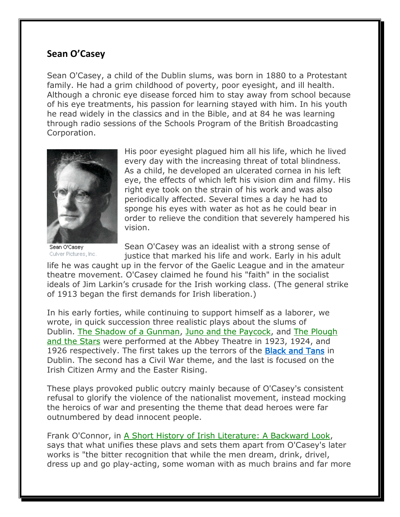## **Sean O'Casey**

Sean O'Casey, a child of the Dublin slums, was born in 1880 to a Protestant family. He had a grim childhood of poverty, poor eyesight, and ill health. Although a chronic eye disease forced him to stay away from school because of his eye treatments, his passion for learning stayed with him. In his youth he read widely in the classics and in the Bible, and at 84 he was learning through radio sessions of the Schools Program of the British Broadcasting Corporation.



His poor eyesight plagued him all his life, which he lived every day with the increasing threat of total blindness. As a child, he developed an ulcerated cornea in his left eye, the effects of which left his vision dim and filmy. His right eye took on the strain of his work and was also periodically affected. Several times a day he had to sponge his eyes with water as hot as he could bear in order to relieve the condition that severely hampered his vision.

Sean O'Casey Culver Pictures, Inc.

Sean O'Casey was an idealist with a strong sense of justice that marked his life and work. Early in his adult

life he was caught up in the fervor of the Gaelic League and in the amateur theatre movement. O'Casey claimed he found his "faith" in the socialist ideals of Jim Larkin's crusade for the Irish working class. (The general strike of 1913 began the first demands for Irish liberation.)

In his early forties, while continuing to support himself as a laborer, we wrote, in quick succession three realistic plays about the slums of Dublin. The Shadow of a Gunman, Juno and the Paycock, and The Plough and the Stars were performed at the Abbey Theatre in 1923, 1924, and 1926 respectively. The first takes up the terrors of the **[Black and Tans](https://sites.google.com/site/icsofgc/home/hedgemaster-archives-2/groups-organizations/the-black-and-tans)** in Dublin. The second has a Civil War theme, and the last is focused on the Irish Citizen Army and the Easter Rising.

These plays provoked public outcry mainly because of O'Casey's consistent refusal to glorify the violence of the nationalist movement, instead mocking the heroics of war and presenting the theme that dead heroes were far outnumbered by dead innocent people.

Frank O'Connor, in A Short History of Irish Literature: A Backward Look, says that what unifies these plavs and sets them apart from O'Casey's later works is "the bitter recognition that while the men dream, drink, drivel, dress up and go play-acting, some woman with as much brains and far more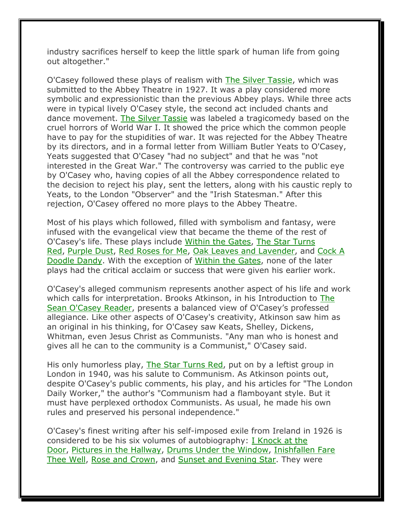industry sacrifices herself to keep the little spark of human life from going out altogether."

O'Casey followed these plays of realism with The Silver Tassie, which was submitted to the Abbey Theatre in 1927. It was a play considered more symbolic and expressionistic than the previous Abbey plays. While three acts were in typical lively O'Casey style, the second act included chants and dance movement. The Silver Tassie was labeled a tragicomedy based on the cruel horrors of World War I. It showed the price which the common people have to pay for the stupidities of war. It was rejected for the Abbey Theatre by its directors, and in a formal letter from William Butler Yeats to O'Casey, Yeats suggested that O'Casey "had no subject" and that he was "not interested in the Great War." The controversy was carried to the public eye by O'Casey who, having copies of all the Abbey correspondence related to the decision to reject his play, sent the letters, along with his caustic reply to Yeats, to the London "Observer" and the "Irish Statesman." After this rejection, O'Casey offered no more plays to the Abbey Theatre.

Most of his plays which followed, filled with symbolism and fantasy, were infused with the evangelical view that became the theme of the rest of O'Casey's life. These plays include Within the Gates, The Star Turns Red, Purple Dust, Red Roses for Me, Oak Leaves and Lavender, and Cock A Doodle Dandy. With the exception of Within the Gates, none of the later plays had the critical acclaim or success that were given his earlier work.

O'Casey's alleged communism represents another aspect of his life and work which calls for interpretation. Brooks Atkinson, in his Introduction to The Sean O'Casey Reader, presents a balanced view of O'Casey's professed allegiance. Like other aspects of O'Casey's creativity, Atkinson saw him as an original in his thinking, for O'Casey saw Keats, Shelley, Dickens, Whitman, even Jesus Christ as Communists. "Any man who is honest and gives all he can to the community is a Communist," O'Casey said.

His only humorless play, The Star Turns Red, put on by a leftist group in London in 1940, was his salute to Communism. As Atkinson points out, despite O'Casey's public comments, his play, and his articles for "The London Daily Worker," the author's "Communism had a flamboyant style. But it must have perplexed orthodox Communists. As usual, he made his own rules and preserved his personal independence."

O'Casey's finest writing after his self-imposed exile from Ireland in 1926 is considered to be his six volumes of autobiography: I Knock at the Door, Pictures in the Hallway, Drums Under the Window, Inishfallen Fare Thee Well, Rose and Crown, and Sunset and Evening Star. They were